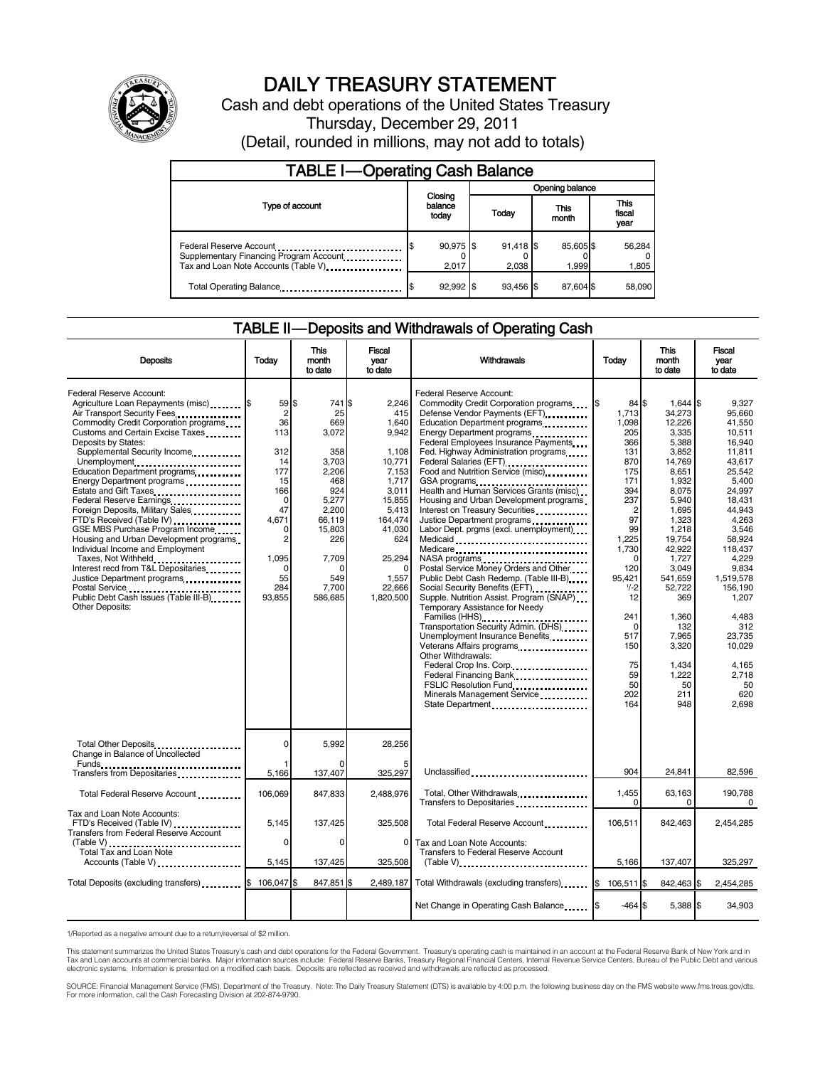

# DAILY TREASURY STATEMENT

Cash and debt operations of the United States Treasury Thursday, December 29, 2011 (Detail, rounded in millions, may not add to totals)

| <b>TABLE I-Operating Cash Balance</b>                                                                       |                             |                 |                      |                    |                               |  |  |  |
|-------------------------------------------------------------------------------------------------------------|-----------------------------|-----------------|----------------------|--------------------|-------------------------------|--|--|--|
|                                                                                                             |                             | Opening balance |                      |                    |                               |  |  |  |
| Type of account                                                                                             | Closing<br>balance<br>today |                 | Today                | This<br>month      | <b>This</b><br>fiscal<br>vear |  |  |  |
| Federal Reserve Account<br>Supplementary Financing Program Account<br>Tax and Loan Note Accounts (Table V). | 90,975 \$<br>2,017          |                 | $91,418$ \$<br>2.038 | 85,605 \$<br>1.999 | 56,284<br>1,805               |  |  |  |
| Total Operating Balance                                                                                     | $92,992$ \$                 |                 | 93.456 \$            | 87,604 \$          | 58,090                        |  |  |  |

# TABLE II — Deposits and Withdrawals of Operating Cash

| <b>Deposits</b>                                                                                                                                                                                                                                                                                                                                                                                                                                                                                                                                                                                                                                                                                                                              | Today                                                                                                                                                  | <b>This</b><br>Fiscal<br>Withdrawals<br>month<br>vear<br>to date<br>to date                                                                               |                                                                                                                                                                       |                                                                                                                                                                                                                                                                                                                                                                                                                                                                                                                                                                                                                                                                                                                                                                                                                                                                                                                                                                                                        | <b>This</b><br>Today<br>month<br>to date                                                                                                                                                                                                           |                                                                                                                                                                                                                                                                             | Fiscal<br>vear<br>to date                                                                                                                                                                                                                                                                |
|----------------------------------------------------------------------------------------------------------------------------------------------------------------------------------------------------------------------------------------------------------------------------------------------------------------------------------------------------------------------------------------------------------------------------------------------------------------------------------------------------------------------------------------------------------------------------------------------------------------------------------------------------------------------------------------------------------------------------------------------|--------------------------------------------------------------------------------------------------------------------------------------------------------|-----------------------------------------------------------------------------------------------------------------------------------------------------------|-----------------------------------------------------------------------------------------------------------------------------------------------------------------------|--------------------------------------------------------------------------------------------------------------------------------------------------------------------------------------------------------------------------------------------------------------------------------------------------------------------------------------------------------------------------------------------------------------------------------------------------------------------------------------------------------------------------------------------------------------------------------------------------------------------------------------------------------------------------------------------------------------------------------------------------------------------------------------------------------------------------------------------------------------------------------------------------------------------------------------------------------------------------------------------------------|----------------------------------------------------------------------------------------------------------------------------------------------------------------------------------------------------------------------------------------------------|-----------------------------------------------------------------------------------------------------------------------------------------------------------------------------------------------------------------------------------------------------------------------------|------------------------------------------------------------------------------------------------------------------------------------------------------------------------------------------------------------------------------------------------------------------------------------------|
| Federal Reserve Account:<br>Agriculture Loan Repayments (misc) \$<br>Air Transport Security Fees<br>Commodity Credit Corporation programs<br>Customs and Certain Excise Taxes<br>Deposits by States:<br>Supplemental Security Income<br>Unemployment<br>Education Department programs<br>Energy Department programs<br>Estate and Gift Taxes<br>Federal Reserve Earnings<br>Foreign Deposits, Military Sales<br>FTD's Received (Table IV)<br>GSE MBS Purchase Program Income<br>Housing and Urban Development programs<br>Individual Income and Employment<br>Taxes, Not Withheld<br>Interest recd from T&L Depositaries<br>Justice Department programs<br>Postal Service<br>Public Debt Cash Issues (Table III-B)<br><b>Other Deposits:</b> | 59 \$<br>$\overline{2}$<br>36<br>113<br>312<br>14<br>177<br>15<br>166<br>0<br>47<br>4.671<br>$\Omega$<br>2<br>1,095<br>$\Omega$<br>55<br>284<br>93.855 | 741 \$<br>25<br>669<br>3,072<br>358<br>3.703<br>2,206<br>468<br>924<br>5,277<br>2.200<br>66.119<br>15.803<br>226<br>7,709<br>0<br>549<br>7.700<br>586.685 | 2.246<br>415<br>1,640<br>9.942<br>1.108<br>10,771<br>7,153<br>1,717<br>3.011<br>15,855<br>5.413<br>164,474<br>41.030<br>624<br>25,294<br>1,557<br>22.666<br>1.820.500 | Federal Reserve Account:<br>Commodity Credit Corporation programs<br>Defense Vendor Payments (EFT)<br>Education Department programs<br>Federal Employees Insurance Payments<br>Fed. Highway Administration programs<br>Federal Salaries (EFT)<br>Food and Nutrition Service (misc)<br>GSA programs<br><br>Health and Human Services Grants (misc)<br>Housing and Urban Development programs<br>Interest on Treasury Securities<br>Justice Department programs<br>Labor Dept. prgms (excl. unemployment)<br>Medicaid<br>Medicare<br>NASA programs<br>Postal Service Money Orders and Other<br>Public Debt Cash Redemp. (Table III-B)<br>Social Security Benefits (EFT)<br>Supple. Nutrition Assist. Program (SNAP)<br>Temporary Assistance for Needy<br>Families (HHS)<br>Transportation Security Admin. (DHS)<br>Unemployment Insurance Benefits<br>Other Withdrawals:<br>Federal Crop Ins. Corp<br>Federal Financing Bank<br>FSLIC Resolution Fund<br>Minerals Management Service<br>State Department | 84S<br>l\$<br>1,713<br>1,098<br>205<br>366<br>131<br>870<br>175<br>171<br>394<br>237<br>$\overline{2}$<br>97<br>99<br>1,225<br>1,730<br>$\Omega$<br>120<br>95.421<br>$1/-2$<br>12<br>241<br>$\Omega$<br>517<br>150<br>75<br>59<br>50<br>202<br>164 | $1.644$ S<br>34,273<br>12,226<br>3,335<br>5,388<br>3.852<br>14.769<br>8,651<br>1,932<br>8,075<br>5,940<br>1.695<br>1,323<br>1.218<br>19,754<br>42,922<br>1,727<br>3,049<br>541.659<br>52.722<br>369<br>1,360<br>132<br>7,965<br>3,320<br>1.434<br>1,222<br>50<br>211<br>948 | 9.327<br>95,660<br>41,550<br>10,511<br>16.940<br>11.811<br>43.617<br>25,542<br>5,400<br>24.997<br>18.431<br>44.943<br>4.263<br>3.546<br>58,924<br>118.437<br>4.229<br>9.834<br>1.519.578<br>156.190<br>1.207<br>4,483<br>312<br>23.735<br>10.029<br>4.165<br>2,718<br>50<br>620<br>2.698 |
| Total Other Deposits<br>Change in Balance of Uncollected                                                                                                                                                                                                                                                                                                                                                                                                                                                                                                                                                                                                                                                                                     | 0                                                                                                                                                      | 5,992                                                                                                                                                     | 28,256                                                                                                                                                                |                                                                                                                                                                                                                                                                                                                                                                                                                                                                                                                                                                                                                                                                                                                                                                                                                                                                                                                                                                                                        |                                                                                                                                                                                                                                                    |                                                                                                                                                                                                                                                                             |                                                                                                                                                                                                                                                                                          |
| Funds<br>Transfers from Depositaries<br>Transfers from Depositaries                                                                                                                                                                                                                                                                                                                                                                                                                                                                                                                                                                                                                                                                          | 1<br>5,166                                                                                                                                             | $\Omega$<br>137,407                                                                                                                                       | 325.297                                                                                                                                                               | Unclassified                                                                                                                                                                                                                                                                                                                                                                                                                                                                                                                                                                                                                                                                                                                                                                                                                                                                                                                                                                                           | 904                                                                                                                                                                                                                                                | 24,841                                                                                                                                                                                                                                                                      | 82,596                                                                                                                                                                                                                                                                                   |
| Total Federal Reserve Account                                                                                                                                                                                                                                                                                                                                                                                                                                                                                                                                                                                                                                                                                                                | 106,069                                                                                                                                                | 847,833                                                                                                                                                   | 2,488,976                                                                                                                                                             | Total, Other Withdrawals<br>Transfers to Depositaries                                                                                                                                                                                                                                                                                                                                                                                                                                                                                                                                                                                                                                                                                                                                                                                                                                                                                                                                                  | 1,455<br>$\Omega$                                                                                                                                                                                                                                  | 63,163<br>0                                                                                                                                                                                                                                                                 | 190.788<br>0                                                                                                                                                                                                                                                                             |
| Tax and Loan Note Accounts:<br>FTD's Received (Table IV)<br>Transfers from Federal Reserve Account                                                                                                                                                                                                                                                                                                                                                                                                                                                                                                                                                                                                                                           | 5,145<br>0                                                                                                                                             | 137,425<br>0                                                                                                                                              | 325,508<br>$\Omega$                                                                                                                                                   | Total Federal Reserve Account<br>Tax and Loan Note Accounts:                                                                                                                                                                                                                                                                                                                                                                                                                                                                                                                                                                                                                                                                                                                                                                                                                                                                                                                                           | 106,511                                                                                                                                                                                                                                            | 842,463                                                                                                                                                                                                                                                                     | 2,454,285                                                                                                                                                                                                                                                                                |
| Total Tax and Loan Note<br>Accounts (Table V)                                                                                                                                                                                                                                                                                                                                                                                                                                                                                                                                                                                                                                                                                                | 5,145                                                                                                                                                  | 137,425                                                                                                                                                   | 325,508                                                                                                                                                               | <b>Transfers to Federal Reserve Account</b><br>$(Table V)$                                                                                                                                                                                                                                                                                                                                                                                                                                                                                                                                                                                                                                                                                                                                                                                                                                                                                                                                             | 5,166                                                                                                                                                                                                                                              | 137,407                                                                                                                                                                                                                                                                     | 325.297                                                                                                                                                                                                                                                                                  |
| Total Deposits (excluding transfers) <b>\$</b>                                                                                                                                                                                                                                                                                                                                                                                                                                                                                                                                                                                                                                                                                               | 106,047 \$                                                                                                                                             | 847,851 \$                                                                                                                                                |                                                                                                                                                                       | 2,489,187 Total Withdrawals (excluding transfers) \$ 106,511 \\$                                                                                                                                                                                                                                                                                                                                                                                                                                                                                                                                                                                                                                                                                                                                                                                                                                                                                                                                       |                                                                                                                                                                                                                                                    | 842.463 \$                                                                                                                                                                                                                                                                  | 2.454.285                                                                                                                                                                                                                                                                                |
|                                                                                                                                                                                                                                                                                                                                                                                                                                                                                                                                                                                                                                                                                                                                              |                                                                                                                                                        |                                                                                                                                                           |                                                                                                                                                                       | Net Change in Operating Cash Balance                                                                                                                                                                                                                                                                                                                                                                                                                                                                                                                                                                                                                                                                                                                                                                                                                                                                                                                                                                   | $-464S$                                                                                                                                                                                                                                            | 5,388 \$                                                                                                                                                                                                                                                                    | 34,903                                                                                                                                                                                                                                                                                   |

1/Reported as a negative amount due to a return/reversal of \$2 million.

This statement summarizes the United States Treasury's cash and debt operations for the Federal Government. Treasury's operating cash is maintained in an account at the Federal Reserve Bank of New York and in<br>Tax and Loan

SOURCE: Financial Management Service (FMS), Department of the Treasury. Note: The Daily Treasury Statement (DTS) is available by 4:00 p.m. the following business day on the FMS website www.fms.treas.gov/dts.<br>For more infor